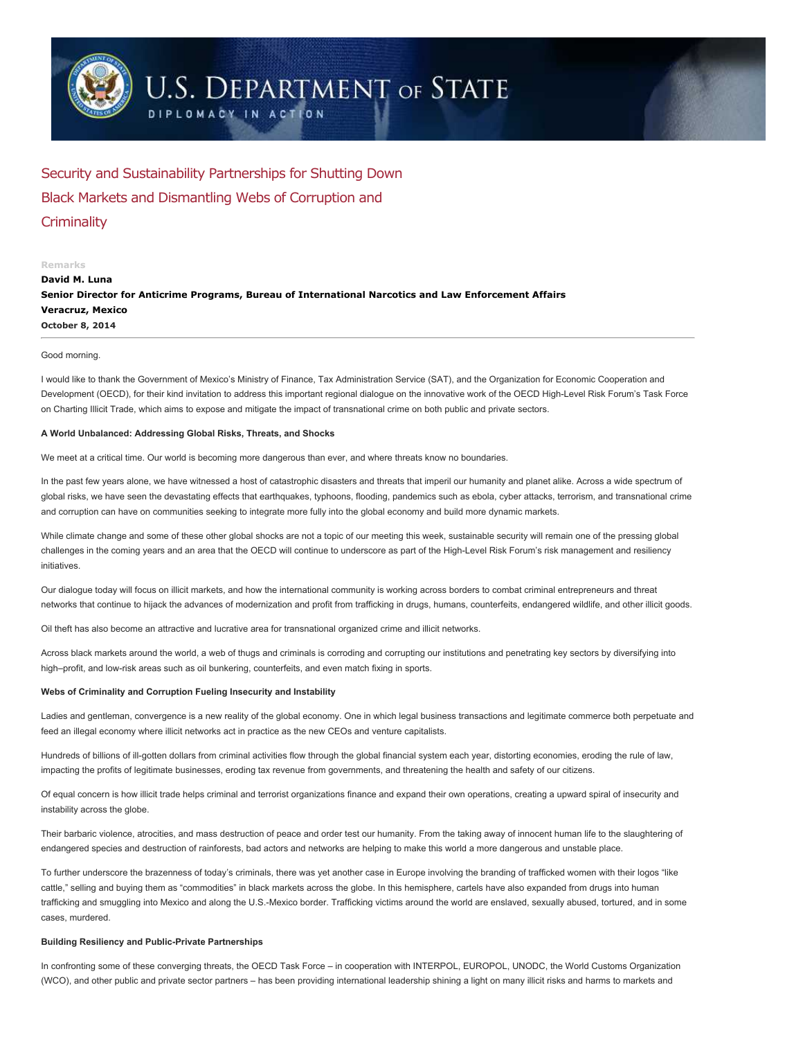

# **U.S. DEPARTMENT OF STATE**

DIPLOMACY IN ACTION

Security and Sustainability Partnerships for Shutting Down Black Markets and Dismantling Webs of Corruption and **Criminality** 

## Remarks

October 8, 2014 David M. Luna Senior Director for Anticrime Programs, Bureau of International Narcotics and Law Enforcement Affairs Veracruz, Mexico

#### Good morning.

I would like to thank the Government of Mexico's Ministry of Finance, Tax Administration Service (SAT), and the Organization for Economic Cooperation and Development (OECD), for their kind invitation to address this important regional dialogue on the innovative work of the OECD High-Level Risk Forum's Task Force on Charting Illicit Trade, which aims to expose and mitigate the impact of transnational crime on both public and private sectors.

## A World Unbalanced: Addressing Global Risks, Threats, and Shocks

We meet at a critical time. Our world is becoming more dangerous than ever, and where threats know no boundaries.

In the past few years alone, we have witnessed a host of catastrophic disasters and threats that imperil our humanity and planet alike. Across a wide spectrum of global risks, we have seen the devastating effects that earthquakes, typhoons, flooding, pandemics such as ebola, cyber attacks, terrorism, and transnational crime and corruption can have on communities seeking to integrate more fully into the global economy and build more dynamic markets.

While climate change and some of these other global shocks are not a topic of our meeting this week, sustainable security will remain one of the pressing global challenges in the coming years and an area that the OECD will continue to underscore as part of the High-Level Risk Forum's risk management and resiliency initiatives.

Our dialogue today will focus on illicit markets, and how the international community is working across borders to combat criminal entrepreneurs and threat networks that continue to hijack the advances of modernization and profit from trafficking in drugs, humans, counterfeits, endangered wildlife, and other illicit goods.

Oil theft has also become an attractive and lucrative area for transnational organized crime and illicit networks.

Across black markets around the world, a web of thugs and criminals is corroding and corrupting our institutions and penetrating key sectors by diversifying into high–profit, and low-risk areas such as oil bunkering, counterfeits, and even match fixing in sports.

## Webs of Criminality and Corruption Fueling Insecurity and Instability

Ladies and gentleman, convergence is a new reality of the global economy. One in which legal business transactions and legitimate commerce both perpetuate and feed an illegal economy where illicit networks act in practice as the new CEOs and venture capitalists.

Hundreds of billions of ill-gotten dollars from criminal activities flow through the global financial system each year, distorting economies, eroding the rule of law, impacting the profits of legitimate businesses, eroding tax revenue from governments, and threatening the health and safety of our citizens.

Of equal concern is how illicit trade helps criminal and terrorist organizations finance and expand their own operations, creating a upward spiral of insecurity and instability across the globe.

Their barbaric violence, atrocities, and mass destruction of peace and order test our humanity. From the taking away of innocent human life to the slaughtering of endangered species and destruction of rainforests, bad actors and networks are helping to make this world a more dangerous and unstable place.

To further underscore the brazenness of today's criminals, there was yet another case in Europe involving the branding of trafficked women with their logos "like cattle," selling and buying them as "commodities" in black markets across the globe. In this hemisphere, cartels have also expanded from drugs into human trafficking and smuggling into Mexico and along the U.S.-Mexico border. Trafficking victims around the world are enslaved, sexually abused, tortured, and in some cases, murdered.

### Building Resiliency and Public-Private Partnerships

In confronting some of these converging threats, the OECD Task Force – in cooperation with INTERPOL, EUROPOL, UNODC, the World Customs Organization (WCO), and other public and private sector partners – has been providing international leadership shining a light on many illicit risks and harms to markets and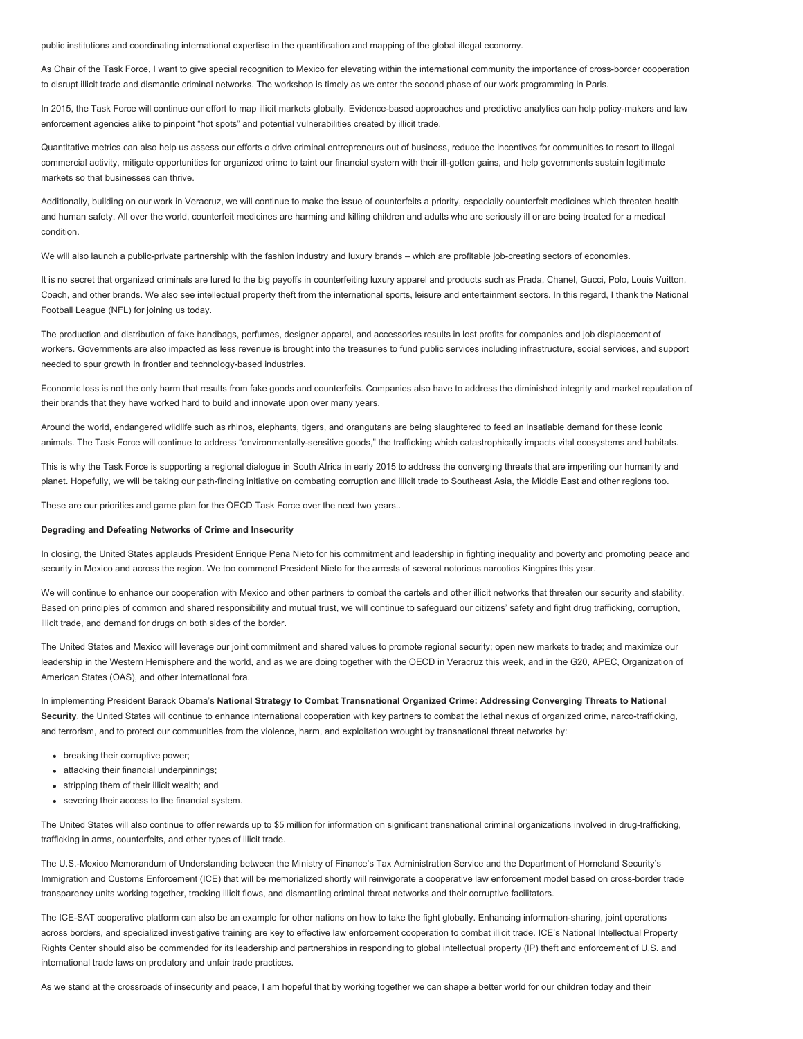public institutions and coordinating international expertise in the quantification and mapping of the global illegal economy.

As Chair of the Task Force, I want to give special recognition to Mexico for elevating within the international community the importance of cross-border cooperation to disrupt illicit trade and dismantle criminal networks. The workshop is timely as we enter the second phase of our work programming in Paris.

In 2015, the Task Force will continue our effort to map illicit markets globally. Evidence-based approaches and predictive analytics can help policy-makers and law enforcement agencies alike to pinpoint "hot spots" and potential vulnerabilities created by illicit trade.

Quantitative metrics can also help us assess our efforts o drive criminal entrepreneurs out of business, reduce the incentives for communities to resort to illegal commercial activity, mitigate opportunities for organized crime to taint our financial system with their ill-gotten gains, and help governments sustain legitimate markets so that businesses can thrive.

Additionally, building on our work in Veracruz, we will continue to make the issue of counterfeits a priority, especially counterfeit medicines which threaten health and human safety. All over the world, counterfeit medicines are harming and killing children and adults who are seriously ill or are being treated for a medical condition.

We will also launch a public-private partnership with the fashion industry and luxury brands – which are profitable job-creating sectors of economies.

It is no secret that organized criminals are lured to the big payoffs in counterfeiting luxury apparel and products such as Prada, Chanel, Gucci, Polo, Louis Vuitton, Coach, and other brands. We also see intellectual property theft from the international sports, leisure and entertainment sectors. In this regard, I thank the National Football League (NFL) for joining us today.

The production and distribution of fake handbags, perfumes, designer apparel, and accessories results in lost profits for companies and job displacement of workers. Governments are also impacted as less revenue is brought into the treasuries to fund public services including infrastructure, social services, and support needed to spur growth in frontier and technology-based industries.

Economic loss is not the only harm that results from fake goods and counterfeits. Companies also have to address the diminished integrity and market reputation of their brands that they have worked hard to build and innovate upon over many years.

Around the world, endangered wildlife such as rhinos, elephants, tigers, and orangutans are being slaughtered to feed an insatiable demand for these iconic animals. The Task Force will continue to address "environmentally-sensitive goods," the trafficking which catastrophically impacts vital ecosystems and habitats.

This is why the Task Force is supporting a regional dialogue in South Africa in early 2015 to address the converging threats that are imperiling our humanity and planet. Hopefully, we will be taking our path-finding initiative on combating corruption and illicit trade to Southeast Asia, the Middle East and other regions too.

These are our priorities and game plan for the OECD Task Force over the next two years..

#### Degrading and Defeating Networks of Crime and Insecurity

In closing, the United States applauds President Enrique Pena Nieto for his commitment and leadership in fighting inequality and poverty and promoting peace and security in Mexico and across the region. We too commend President Nieto for the arrests of several notorious narcotics Kingpins this year.

We will continue to enhance our cooperation with Mexico and other partners to combat the cartels and other illicit networks that threaten our security and stability. Based on principles of common and shared responsibility and mutual trust, we will continue to safeguard our citizens' safety and fight drug trafficking, corruption, illicit trade, and demand for drugs on both sides of the border.

The United States and Mexico will leverage our joint commitment and shared values to promote regional security; open new markets to trade; and maximize our leadership in the Western Hemisphere and the world, and as we are doing together with the OECD in Veracruz this week, and in the G20, APEC, Organization of American States (OAS), and other international fora.

In implementing President Barack Obama's National Strategy to Combat Transnational Organized Crime: Addressing Converging Threats to National Security, the United States will continue to enhance international cooperation with key partners to combat the lethal nexus of organized crime, narco-trafficking, and terrorism, and to protect our communities from the violence, harm, and exploitation wrought by transnational threat networks by:

- breaking their corruptive power;
- attacking their financial underpinnings;
- stripping them of their illicit wealth; and
- severing their access to the financial system.

The United States will also continue to offer rewards up to \$5 million for information on significant transnational criminal organizations involved in drug-trafficking, trafficking in arms, counterfeits, and other types of illicit trade.

The U.S.-Mexico Memorandum of Understanding between the Ministry of Finance's Tax Administration Service and the Department of Homeland Security's Immigration and Customs Enforcement (ICE) that will be memorialized shortly will reinvigorate a cooperative law enforcement model based on cross-border trade transparency units working together, tracking illicit flows, and dismantling criminal threat networks and their corruptive facilitators.

The ICE-SAT cooperative platform can also be an example for other nations on how to take the fight globally. Enhancing information-sharing, joint operations across borders, and specialized investigative training are key to effective law enforcement cooperation to combat illicit trade. ICE's National Intellectual Property Rights Center should also be commended for its leadership and partnerships in responding to global intellectual property (IP) theft and enforcement of U.S. and international trade laws on predatory and unfair trade practices.

As we stand at the crossroads of insecurity and peace, I am hopeful that by working together we can shape a better world for our children today and their